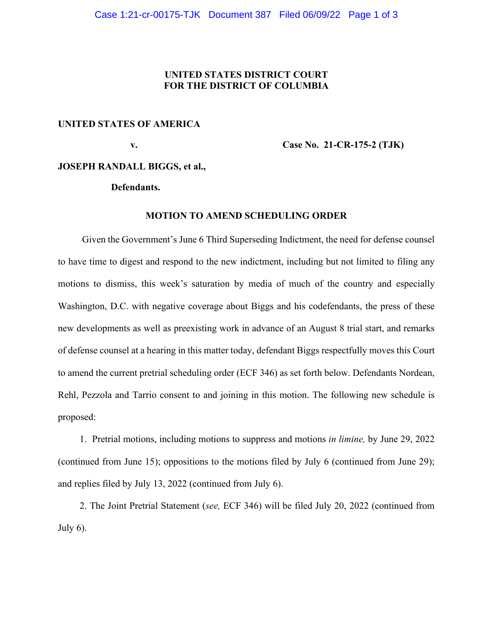## **UNITED STATES DISTRICT COURT FOR THE DISTRICT OF COLUMBIA**

## **UNITED STATES OF AMERICA**

 **v. Case No. 21-CR-175-2 (TJK)** 

#### **JOSEPH RANDALL BIGGS, et al.,**

#### **Defendants.**

#### **MOTION TO AMEND SCHEDULING ORDER**

 Given the Government's June 6 Third Superseding Indictment, the need for defense counsel to have time to digest and respond to the new indictment, including but not limited to filing any motions to dismiss, this week's saturation by media of much of the country and especially Washington, D.C. with negative coverage about Biggs and his codefendants, the press of these new developments as well as preexisting work in advance of an August 8 trial start, and remarks of defense counsel at a hearing in this matter today, defendant Biggs respectfully moves this Court to amend the current pretrial scheduling order (ECF 346) as set forth below. Defendants Nordean, Rehl, Pezzola and Tarrio consent to and joining in this motion. The following new schedule is proposed:

 1. Pretrial motions, including motions to suppress and motions *in limine,* by June 29, 2022 (continued from June 15); oppositions to the motions filed by July 6 (continued from June 29); and replies filed by July 13, 2022 (continued from July 6).

 2. The Joint Pretrial Statement (*see,* ECF 346) will be filed July 20, 2022 (continued from July  $6$ ).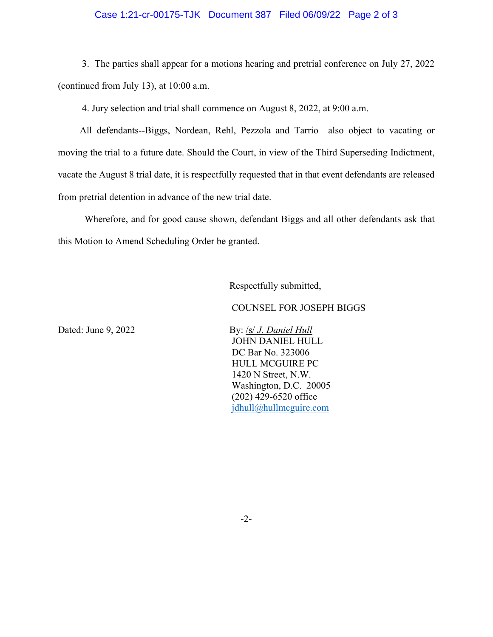### Case 1:21-cr-00175-TJK Document 387 Filed 06/09/22 Page 2 of 3

 3. The parties shall appear for a motions hearing and pretrial conference on July 27, 2022 (continued from July 13), at 10:00 a.m.

4. Jury selection and trial shall commence on August 8, 2022, at 9:00 a.m.

 All defendants--Biggs, Nordean, Rehl, Pezzola and Tarrio—also object to vacating or moving the trial to a future date. Should the Court, in view of the Third Superseding Indictment, vacate the August 8 trial date, it is respectfully requested that in that event defendants are released from pretrial detention in advance of the new trial date.

 Wherefore, and for good cause shown, defendant Biggs and all other defendants ask that this Motion to Amend Scheduling Order be granted.

Respectfully submitted,

COUNSEL FOR JOSEPH BIGGS

Dated: June 9, 2022 By: /s/ *J. Daniel Hull*  JOHN DANIEL HULL DC Bar No. 323006 HULL MCGUIRE PC 1420 N Street, N.W. Washington, D.C. 20005 (202) 429-6520 office [jdhull@hullmcguire.com](mailto:jdhull@hullmcguire.com) 

-2-